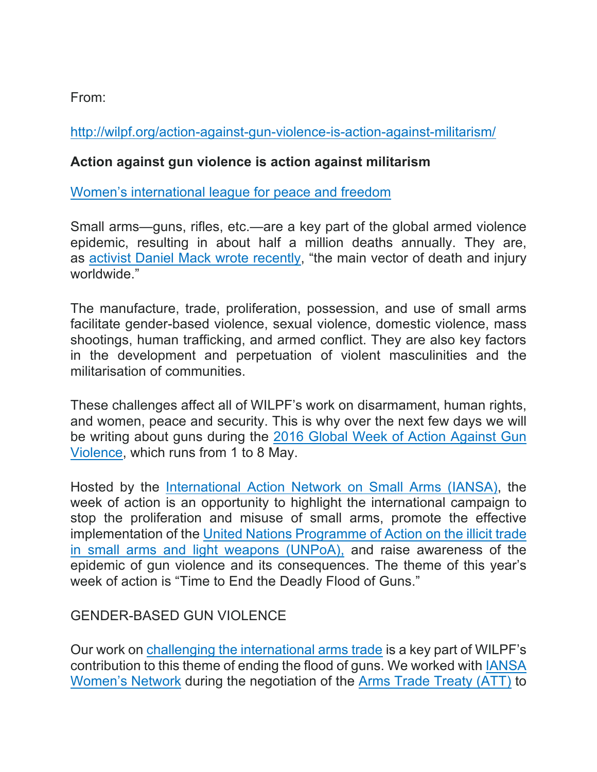From:

http://wilpf.org/action-against-gun-violence-is-action-against-militarism/

## **Action against gun violence is action against militarism**

Women's international league for peace and freedom

Small arms—guns, rifles, etc.—are a key part of the global armed violence epidemic, resulting in about half a million deaths annually. They are, as activist Daniel Mack wrote recently, "the main vector of death and injury worldwide."

The manufacture, trade, proliferation, possession, and use of small arms facilitate gender-based violence, sexual violence, domestic violence, mass shootings, human trafficking, and armed conflict. They are also key factors in the development and perpetuation of violent masculinities and the militarisation of communities.

These challenges affect all of WILPF's work on disarmament, human rights, and women, peace and security. This is why over the next few days we will be writing about guns during the 2016 Global Week of Action Against Gun Violence, which runs from 1 to 8 May.

Hosted by the International Action Network on Small Arms (IANSA), the week of action is an opportunity to highlight the international campaign to stop the proliferation and misuse of small arms, promote the effective implementation of the United Nations Programme of Action on the illicit trade in small arms and light weapons (UNPoA), and raise awareness of the epidemic of gun violence and its consequences. The theme of this year's week of action is "Time to End the Deadly Flood of Guns."

## GENDER-BASED GUN VIOLENCE

Our work on challenging the international arms trade is a key part of WILPF's contribution to this theme of ending the flood of guns. We worked with IANSA Women's Network during the negotiation of the Arms Trade Treaty (ATT) to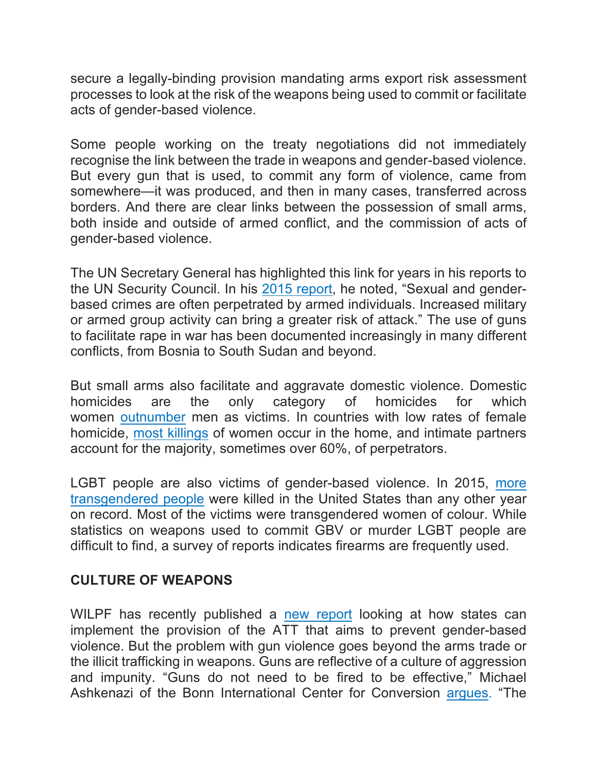secure a legally-binding provision mandating arms export risk assessment processes to look at the risk of the weapons being used to commit or facilitate acts of gender-based violence.

Some people working on the treaty negotiations did not immediately recognise the link between the trade in weapons and gender-based violence. But every gun that is used, to commit any form of violence, came from somewhere—it was produced, and then in many cases, transferred across borders. And there are clear links between the possession of small arms, both inside and outside of armed conflict, and the commission of acts of gender-based violence.

The UN Secretary General has highlighted this link for years in his reports to the UN Security Council. In his 2015 report, he noted, "Sexual and genderbased crimes are often perpetrated by armed individuals. Increased military or armed group activity can bring a greater risk of attack." The use of guns to facilitate rape in war has been documented increasingly in many different conflicts, from Bosnia to South Sudan and beyond.

But small arms also facilitate and aggravate domestic violence. Domestic homicides are the only category of homicides for which women outnumber men as victims. In countries with low rates of female homicide, most killings of women occur in the home, and intimate partners account for the majority, sometimes over 60%, of perpetrators.

LGBT people are also victims of gender-based violence. In 2015, more transgendered people were killed in the United States than any other year on record. Most of the victims were transgendered women of colour. While statistics on weapons used to commit GBV or murder LGBT people are difficult to find, a survey of reports indicates firearms are frequently used.

## **CULTURE OF WEAPONS**

WILPF has recently published a new report looking at how states can implement the provision of the ATT that aims to prevent gender-based violence. But the problem with gun violence goes beyond the arms trade or the illicit trafficking in weapons. Guns are reflective of a culture of aggression and impunity. "Guns do not need to be fired to be effective," Michael Ashkenazi of the Bonn International Center for Conversion argues. "The